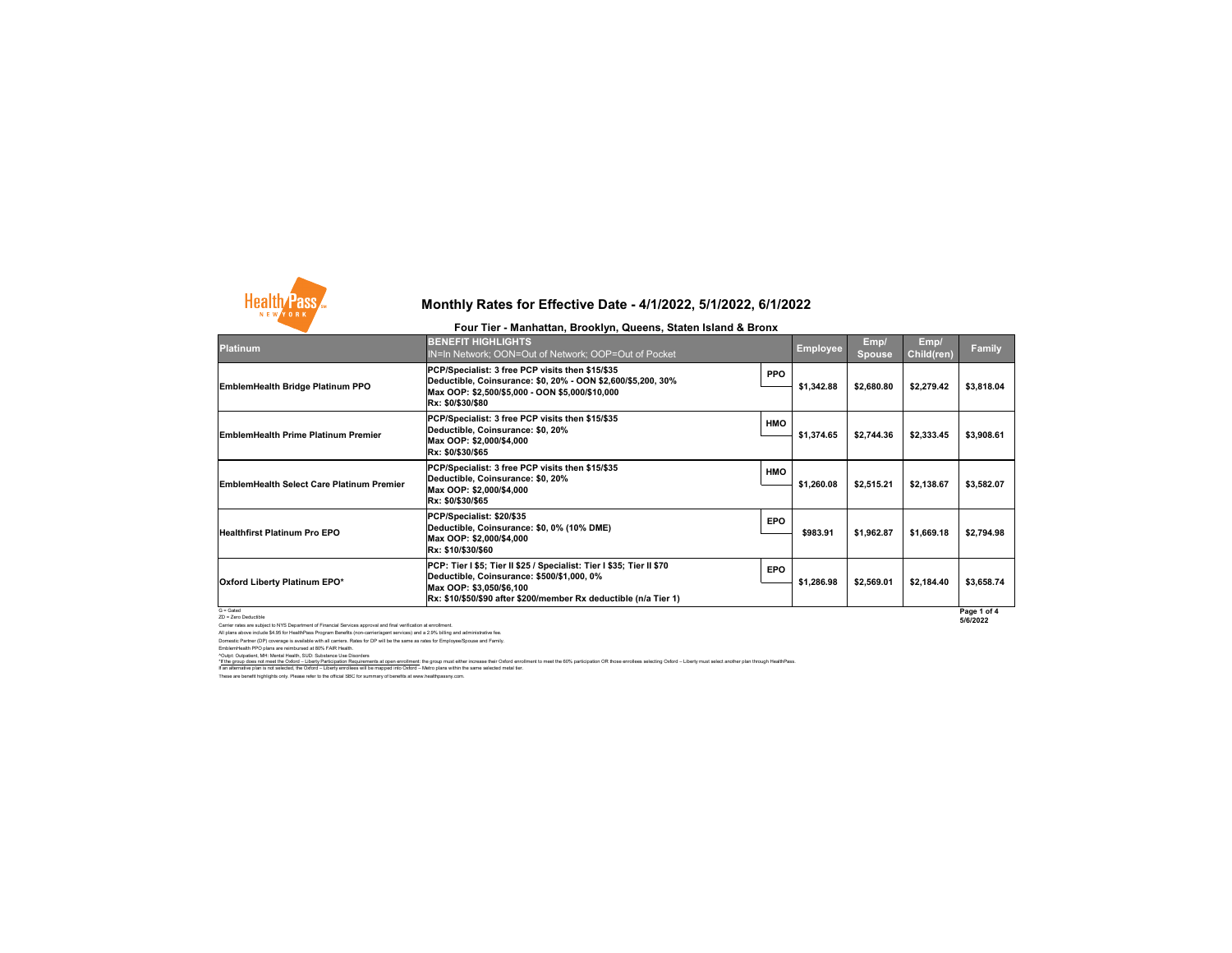These are benefit highlights only. Please refer to the official SBC for summary of benefits at www.healthpassny.com. If an alternative plan is not selected, the Oxford – Liberty enrollees will be mapped into Oxford – Metro plans within the same selected metal tier.

Carrier rates are subject to NYS Department of Financial Services approval and final verification at enrollment. All plans above include \$4.95 for HealthPass Program Benefits (non-carrier/agent services) and a 2.9% billing and administrative fee. Domestic Partner (DP) coverage is available with all carriers. Rates for DP will be the same as rates for Employee/Spouse and Family. EmblemHealth PPO plans are reimbursed at 80% FAIR Health.

^Outpt: Outpatient, MH: Mental Health, SUD: Substance Use Disorders

## **Monthly Rates for Effective Date - 4/1/2022, 5/1/2022, 6/1/2022**

#### **Four Tier - Manhattan, Brooklyn, Queens, Staten Island & Bronx**

\*If the group does not meet the Oxford – Liberty Participation Requirements at open enrollment: the group must either increase their Oxford enrollment to meet the 60% participation OR those enrollees selecting Oxford – Lib



| <b>Platinum</b>                                  | <b>BENEFIT HIGHLIGHTS</b><br>IN=In Network; OON=Out of Network; OOP=Out of Pocket                                                                                                                                          |            | <b>Employee</b> | Emp/<br><b>Spouse</b> | Emp/<br><b>Child(ren)</b> | <b>Family</b>           |
|--------------------------------------------------|----------------------------------------------------------------------------------------------------------------------------------------------------------------------------------------------------------------------------|------------|-----------------|-----------------------|---------------------------|-------------------------|
| <b>EmblemHealth Bridge Platinum PPO</b>          | PCP/Specialist: 3 free PCP visits then \$15/\$35<br> Deductible, Coinsurance: \$0, 20% - OON \$2,600/\$5,200, 30%<br>Max OOP: \$2,500/\$5,000 - OON \$5,000/\$10,000<br> Rx: \$0/\$30/\$80                                 | <b>PPO</b> | \$1,342.88      | \$2,680.80            | \$2,279.42                | \$3,818.04              |
| <b>EmblemHealth Prime Platinum Premier</b>       | PCP/Specialist: 3 free PCP visits then \$15/\$35<br>Deductible, Coinsurance: \$0, 20%<br>Max OOP: \$2,000/\$4,000<br>Rx: \$0/\$30/\$65                                                                                     | <b>HMO</b> | \$1,374.65      | \$2,744.36            | \$2,333.45                | \$3,908.61              |
| <b>EmblemHealth Select Care Platinum Premier</b> | PCP/Specialist: 3 free PCP visits then \$15/\$35<br>Deductible, Coinsurance: \$0, 20%<br>Max OOP: \$2,000/\$4,000<br> Rx: \$0/\$30/\$65                                                                                    | <b>HMO</b> | \$1,260.08      | \$2,515.21            | \$2,138.67                | \$3,582.07              |
| <b>Healthfirst Platinum Pro EPO</b>              | PCP/Specialist: \$20/\$35<br>Deductible, Coinsurance: \$0, 0% (10% DME)<br>Max OOP: \$2,000/\$4,000<br>Rx: \$10/\$30/\$60                                                                                                  | <b>EPO</b> | \$983.91        | \$1,962.87            | \$1,669.18                | \$2,794.98              |
| <b>Oxford Liberty Platinum EPO*</b>              | <b>PCP: Tier I \$5; Tier II \$25 / Specialist: Tier I \$35; Tier II \$70</b><br>Deductible, Coinsurance: \$500/\$1,000, 0%<br>Max OOP: \$3,050/\$6,100<br>Rx: \$10/\$50/\$90 after \$200/member Rx deductible (n/a Tier 1) | <b>EPO</b> | \$1,286.98      | \$2,569.01            | \$2,184.40                | \$3,658.74              |
| $G =$ Gated<br>ZD = Zero Deductible              |                                                                                                                                                                                                                            |            |                 |                       |                           | Page 1 of 4<br>5/6/2022 |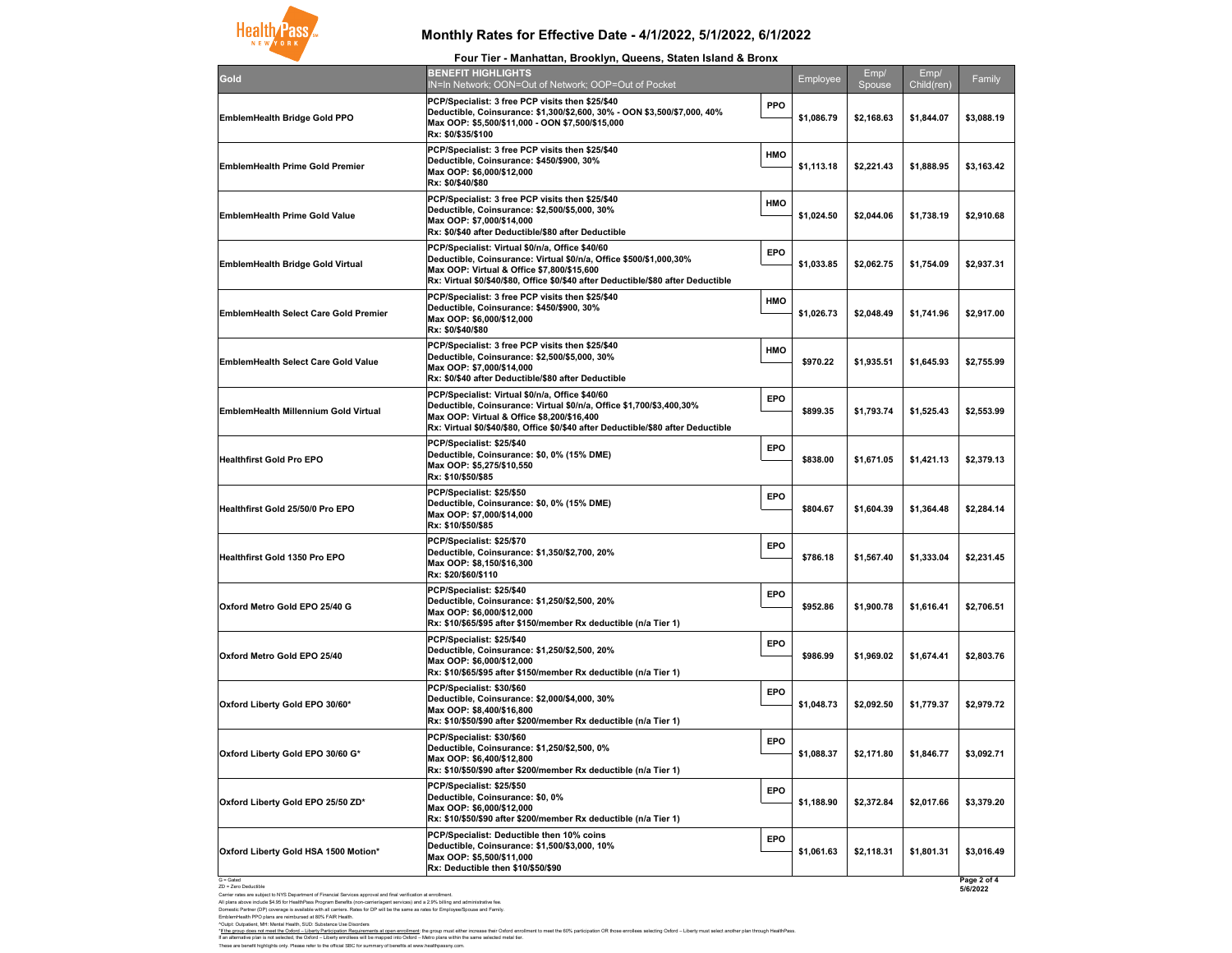G = Gated ZD = Zero Deductible

Carrier rates are subject to NYS Department of Financial Services approval and final verification at enrollment. All plans above include \$4.95 for HealthPass Program Benefits (non-carrier/agent services) and a 2.9% billing and administrative fee. Domestic Partner (DP) coverage is available with all carriers. Rates for DP will be the same as rates for Employee/Spouse and Family. EmblemHealth PPO plans are reimbursed at 80% FAIR Health.

^Outpt: Outpatient, MH: Mental Health, SUD: Substance Use Disorders

**5/6/2022**

# **Monthly Rates for Effective Date - 4/1/2022, 5/1/2022, 6/1/2022**

These are benefit highlights only. Please refer to the official SBC for summary of benefits at www.healthpassny.com. If an alternative plan is not selected, the Oxford – Liberty enrollees will be mapped into Oxford – Metro plans within the same selected metal tier.



| Gold                                         | <b>BENEFIT HIGHLIGHTS</b><br><b>IN=In Network; OON=Ou</b>                                                                                    |
|----------------------------------------------|----------------------------------------------------------------------------------------------------------------------------------------------|
| <b>EmblemHealth Bridge Gold PPO</b>          | <b>PCP/Specialist: 3 free PC</b><br><b>Deductible, Coinsurance</b><br>Max OOP: \$5,500/\$11,000<br>Rx: \$0/\$35/\$100                        |
| <b>EmblemHealth Prime Gold Premier</b>       | <b>PCP/Specialist: 3 free PC</b><br><b>Deductible, Coinsurance</b><br>Max OOP: \$6,000/\$12,000<br>Rx: \$0/\$40/\$80                         |
| <b>EmblemHealth Prime Gold Value</b>         | <b>PCP/Specialist: 3 free PC</b><br><b>Deductible, Coinsurance</b><br>Max OOP: \$7,000/\$14,000<br>Rx: \$0/\$40 after Deductib               |
| <b>EmblemHealth Bridge Gold Virtual</b>      | <b>PCP/Specialist: Virtual \$0</b><br><b>Deductible, Coinsurance</b><br><b>Max OOP: Virtual &amp; Offic</b><br>Rx: Virtual \$0/\$40/\$80, Of |
| <b>EmblemHealth Select Care Gold Premier</b> | <b>PCP/Specialist: 3 free PC</b><br><b>Deductible, Coinsurance</b><br>Max OOP: \$6,000/\$12,000<br>Rx: \$0/\$40/\$80                         |
| <b>EmblemHealth Select Care Gold Value</b>   | <b>PCP/Specialist: 3 free PC</b><br><b>Deductible, Coinsurance</b><br>Max OOP: \$7,000/\$14,000<br>Rx: \$0/\$40 after Deductib               |
| <b>EmblemHealth Millennium Gold Virtual</b>  | <b>PCP/Specialist: Virtual \$0</b><br><b>Deductible, Coinsurance</b><br><b>Max OOP: Virtual &amp; Offic</b><br>Rx: Virtual \$0/\$40/\$80, Of |
| <b>Healthfirst Gold Pro EPO</b>              | PCP/Specialist: \$25/\$40<br><b>Deductible, Coinsurance</b><br>Max OOP: \$5,275/\$10,550<br>Rx: \$10/\$50/\$85                               |
| <b>Healthfirst Gold 25/50/0 Pro EPO</b>      | PCP/Specialist: \$25/\$50<br><b>Deductible, Coinsurance</b><br>Max OOP: \$7,000/\$14,000<br>Rx: \$10/\$50/\$85                               |
| <b>Healthfirst Gold 1350 Pro EPO</b>         | PCP/Specialist: \$25/\$70<br><b>Deductible, Coinsurance</b><br>Max OOP: \$8,150/\$16,300<br>Rx: \$20/\$60/\$110                              |
| Oxford Metro Gold EPO 25/40 G                | PCP/Specialist: \$25/\$40<br><b>Deductible, Coinsurance</b><br>Max OOP: \$6,000/\$12,000<br>Rx: \$10/\$65/\$95 after \$15                    |
| <b>Oxford Metro Gold EPO 25/40</b>           | PCP/Specialist: \$25/\$40<br><b>Deductible, Coinsurance</b><br>Max OOP: \$6,000/\$12,000<br>Rx: \$10/\$65/\$95 after \$15                    |
| Oxford Liberty Gold EPO 30/60*               | PCP/Specialist: \$30/\$60<br><b>Deductible, Coinsurance</b><br>Max OOP: \$8,400/\$16,800<br>Rx: \$10/\$50/\$90 after \$20                    |
| Oxford Liberty Gold EPO 30/60 G*             | PCP/Specialist: \$30/\$60<br><b>Deductible, Coinsurance</b><br>Max OOP: \$6,400/\$12,800<br>Rx: \$10/\$50/\$90 after \$20                    |
| Oxford Liberty Gold EPO 25/50 ZD*            | PCP/Specialist: \$25/\$50<br><b>Deductible, Coinsurance</b><br>Max OOP: \$6,000/\$12,000<br>Rx: \$10/\$50/\$90 after \$20                    |
| Oxford Liberty Gold HSA 1500 Motion*         | <b>PCP/Specialist: Deductib</b><br><b>Deductible, Coinsurance</b><br>Max OOP: \$5,500/\$11,000<br>Dy: Doductible than \$10/                  |

| Four Tier - Manhattan, Brooklyn, Queens, Staten Island & Bronx                                                                                                                                                                                             |            |            |                |                    |             |
|------------------------------------------------------------------------------------------------------------------------------------------------------------------------------------------------------------------------------------------------------------|------------|------------|----------------|--------------------|-------------|
| <b>BENEFIT HIGHLIGHTS</b><br>IN=In Network; OON=Out of Network; OOP=Out of Pocket                                                                                                                                                                          |            | Employee   | Emp/<br>Spouse | Emp/<br>Child(ren) | Family      |
| PCP/Specialist: 3 free PCP visits then \$25/\$40<br>Deductible, Coinsurance: \$1,300/\$2,600, 30% - OON \$3,500/\$7,000, 40%<br>Max OOP: \$5,500/\$11,000 - OON \$7,500/\$15,000<br>Rx: \$0/\$35/\$100                                                     | <b>PPO</b> | \$1,086.79 | \$2,168.63     | \$1,844.07         | \$3,088.19  |
| PCP/Specialist: 3 free PCP visits then \$25/\$40<br>Deductible, Coinsurance: \$450/\$900, 30%<br>Max OOP: \$6,000/\$12,000<br>Rx: \$0/\$40/\$80                                                                                                            | <b>HMO</b> | \$1,113.18 | \$2,221.43     | \$1,888.95         | \$3,163.42  |
| PCP/Specialist: 3 free PCP visits then \$25/\$40<br>Deductible, Coinsurance: \$2,500/\$5,000, 30%<br>Max OOP: \$7,000/\$14,000<br>Rx: \$0/\$40 after Deductible/\$80 after Deductible                                                                      | <b>HMO</b> | \$1,024.50 | \$2,044.06     | \$1,738.19         | \$2,910.68  |
| PCP/Specialist: Virtual \$0/n/a, Office \$40/60<br>Deductible, Coinsurance: Virtual \$0/n/a, Office \$500/\$1,000,30%<br>Max OOP: Virtual & Office \$7,800/\$15,600<br>Rx: Virtual \$0/\$40/\$80, Office \$0/\$40 after Deductible/\$80 after Deductible   | <b>EPO</b> | \$1,033.85 | \$2,062.75     | \$1,754.09         | \$2,937.31  |
| PCP/Specialist: 3 free PCP visits then \$25/\$40<br>Deductible, Coinsurance: \$450/\$900, 30%<br>Max OOP: \$6,000/\$12,000<br>Rx: \$0/\$40/\$80                                                                                                            | <b>HMO</b> | \$1,026.73 | \$2,048.49     | \$1,741.96         | \$2,917.00  |
| PCP/Specialist: 3 free PCP visits then \$25/\$40<br>Deductible, Coinsurance: \$2,500/\$5,000, 30%<br>Max OOP: \$7,000/\$14,000<br>Rx: \$0/\$40 after Deductible/\$80 after Deductible                                                                      | <b>HMO</b> | \$970.22   | \$1,935.51     | \$1,645.93         | \$2,755.99  |
| PCP/Specialist: Virtual \$0/n/a, Office \$40/60<br>Deductible, Coinsurance: Virtual \$0/n/a, Office \$1,700/\$3,400,30%<br>Max OOP: Virtual & Office \$8,200/\$16,400<br>Rx: Virtual \$0/\$40/\$80, Office \$0/\$40 after Deductible/\$80 after Deductible | <b>EPO</b> | \$899.35   | \$1,793.74     | \$1,525.43         | \$2,553.99  |
| PCP/Specialist: \$25/\$40<br>Deductible, Coinsurance: \$0, 0% (15% DME)<br>Max OOP: \$5,275/\$10,550<br>Rx: \$10/\$50/\$85                                                                                                                                 | <b>EPO</b> | \$838.00   | \$1,671.05     | \$1,421.13         | \$2,379.13  |
| PCP/Specialist: \$25/\$50<br>Deductible, Coinsurance: \$0, 0% (15% DME)<br>Max OOP: \$7,000/\$14,000<br>Rx: \$10/\$50/\$85                                                                                                                                 | <b>EPO</b> | \$804.67   | \$1,604.39     | \$1,364.48         | \$2,284.14  |
| PCP/Specialist: \$25/\$70<br>Deductible, Coinsurance: \$1,350/\$2,700, 20%<br>Max OOP: \$8,150/\$16,300<br>Rx: \$20/\$60/\$110                                                                                                                             | <b>EPO</b> | \$786.18   | \$1,567.40     | \$1,333.04         | \$2,231.45  |
| PCP/Specialist: \$25/\$40<br>Deductible, Coinsurance: \$1,250/\$2,500, 20%<br>Max OOP: \$6,000/\$12,000<br>Rx: \$10/\$65/\$95 after \$150/member Rx deductible (n/a Tier 1)                                                                                | <b>EPO</b> | \$952.86   | \$1,900.78     | \$1,616.41         | \$2,706.51  |
| PCP/Specialist: \$25/\$40<br>Deductible, Coinsurance: \$1,250/\$2,500, 20%<br>Max OOP: \$6,000/\$12,000                                                                                                                                                    | <b>EPO</b> | \$986.99   | \$1,969.02     | \$1,674.41         | \$2,803.76  |
| PCP/Specialist: \$30/\$60<br>Deductible, Coinsurance: \$2,000/\$4,000, 30%<br>Max OOP: \$8,400/\$16,800<br>Rx: \$10/\$50/\$90 after \$200/member Rx deductible (n/a Tier 1)                                                                                | <b>EPO</b> | \$1,048.73 | \$2,092.50     | \$1,779.37         | \$2,979.72  |
| PCP/Specialist: \$30/\$60<br>Deductible, Coinsurance: \$1,250/\$2,500, 0%<br>Max OOP: \$6,400/\$12,800                                                                                                                                                     | <b>EPO</b> | \$1,088.37 | \$2,171.80     | \$1,846.77         | \$3,092.71  |
| PCP/Specialist: \$25/\$50<br>Deductible, Coinsurance: \$0, 0%<br>Max OOP: \$6,000/\$12,000                                                                                                                                                                 | <b>EPO</b> | \$1,188.90 | \$2,372.84     | \$2,017.66         | \$3,379.20  |
| PCP/Specialist: Deductible then 10% coins<br>Deductible, Coinsurance: \$1,500/\$3,000, 10%<br>Max OOP: \$5,500/\$11,000<br>Rx: Deductible then \$10/\$50/\$90                                                                                              | <b>EPO</b> | \$1,061.63 | \$2,118.31     | \$1,801.31         | \$3,016.49  |
|                                                                                                                                                                                                                                                            |            |            |                |                    | Page 2 of 4 |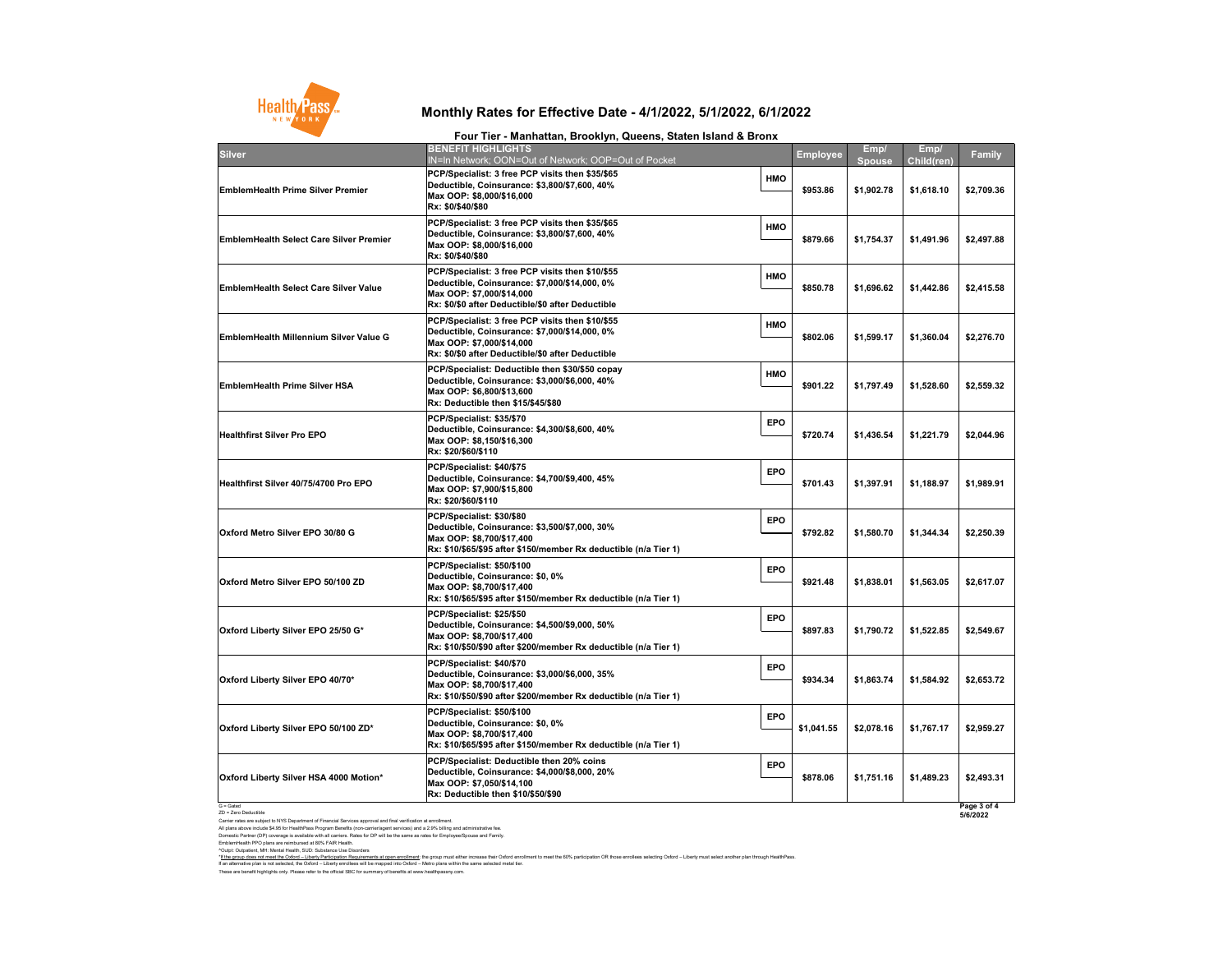G = Gated ZD = Zero Deductible

Carrier rates are subject to NYS Department of Financial Services approval and final verification at enrollment. All plans above include \$4.95 for HealthPass Program Benefits (non-carrier/agent services) and a 2.9% billing and administrative fee. Domestic Partner (DP) coverage is available with all carriers. Rates for DP will be the same as rates for Employee/Spouse and Family. EmblemHealth PPO plans are reimbursed at 80% FAIR Health.

These are benefit highlights only. Please refer to the official SBC for summary of benefits at www.healthpassny.com. ^Outpt: Outpatient, MH: Mental Health, SUD: Substance Use Disorders \*<u>If the group does not meet the Oxford – Liberty Participation Requirements at open enrollment</u>: the group must either increase their Oxford enrollment to meet the 60% participation OR those enrollees selecting Oxford – L If an alternative plan is not selected, the Oxford – Liberty enrollees will be mapped into Oxford – Metro plans within the same selected metal tier.



| <b>Silver</b>                                  | <b>BENEFIT HIGHLIGHTS</b><br><b>IN=In Network; OON=Ou</b>                                                                       |
|------------------------------------------------|---------------------------------------------------------------------------------------------------------------------------------|
| <b>EmblemHealth Prime Silver Premier</b>       | <b>PCP/Specialist: 3 free PC</b><br><b>Deductible, Coinsurance</b><br>Max OOP: \$8,000/\$16,000<br>Rx: \$0/\$40/\$80            |
| <b>EmblemHealth Select Care Silver Premier</b> | <b>PCP/Specialist: 3 free PC</b><br><b>Deductible, Coinsurance</b><br>Max OOP: \$8,000/\$16,000<br>Rx: \$0/\$40/\$80            |
| <b>EmblemHealth Select Care Silver Value</b>   | <b>PCP/Specialist: 3 free PC</b><br><b>Deductible, Coinsurance</b><br>Max OOP: \$7,000/\$14,000<br>Rx: \$0/\$0 after Deductible |
| <b>EmblemHealth Millennium Silver Value G</b>  | <b>PCP/Specialist: 3 free PC</b><br><b>Deductible, Coinsurance</b><br>Max OOP: \$7,000/\$14,000<br>Rx: \$0/\$0 after Deductible |
| <b>EmblemHealth Prime Silver HSA</b>           | <b>PCP/Specialist: Deductib</b><br><b>Deductible, Coinsurance</b><br>Max OOP: \$6,800/\$13,600<br>Rx: Deductible then \$15/     |
| <b>Healthfirst Silver Pro EPO</b>              | PCP/Specialist: \$35/\$70<br><b>Deductible, Coinsurance</b><br>Max OOP: \$8,150/\$16,300<br>Rx: \$20/\$60/\$110                 |
| Healthfirst Silver 40/75/4700 Pro EPO          | PCP/Specialist: \$40/\$75<br><b>Deductible, Coinsurance</b><br>Max OOP: \$7,900/\$15,800<br>Rx: \$20/\$60/\$110                 |
| Oxford Metro Silver EPO 30/80 G                | PCP/Specialist: \$30/\$80<br><b>Deductible, Coinsurance</b><br>Max OOP: \$8,700/\$17,400<br>Rx: \$10/\$65/\$95 after \$15       |
| Oxford Metro Silver EPO 50/100 ZD              | PCP/Specialist: \$50/\$100<br><b>Deductible, Coinsurance</b><br>Max OOP: \$8,700/\$17,400<br>Rx: \$10/\$65/\$95 after \$15      |
| Oxford Liberty Silver EPO 25/50 G*             | PCP/Specialist: \$25/\$50<br><b>Deductible, Coinsurance</b><br>Max OOP: \$8,700/\$17,400<br>Rx: \$10/\$50/\$90 after \$20       |
| Oxford Liberty Silver EPO 40/70*               | PCP/Specialist: \$40/\$70<br><b>Deductible, Coinsurance</b><br>Max OOP: \$8,700/\$17,400<br>Rx: \$10/\$50/\$90 after \$20       |
| Oxford Liberty Silver EPO 50/100 ZD*           | PCP/Specialist: \$50/\$100<br><b>Deductible, Coinsurance</b><br>Max OOP: \$8,700/\$17,400<br>Rx: \$10/\$65/\$95 after \$15      |
| Oxford Liberty Silver HSA 4000 Motion*         | <b>PCP/Specialist: Deductib</b><br><b>Deductible, Coinsurance</b><br>Max OOP: \$7,050/\$14,100<br>Dy: Daduatible than $R40/$    |

| TUUT TIGI - MANNAUAN, DIUUNIYII, QUGGNU, ULALGN ISIANU Q DIUNA                                                                                                                      |            |                 |                |                           |                         |
|-------------------------------------------------------------------------------------------------------------------------------------------------------------------------------------|------------|-----------------|----------------|---------------------------|-------------------------|
| <b>BENEFIT HIGHLIGHTS</b><br>IN=In Network; OON=Out of Network; OOP=Out of Pocket                                                                                                   |            | <b>Employee</b> | Emp/<br>Spouse | Emp/<br><b>Child(ren)</b> | <b>Family</b>           |
| PCP/Specialist: 3 free PCP visits then \$35/\$65<br>Deductible, Coinsurance: \$3,800/\$7,600, 40%<br>Max OOP: \$8,000/\$16,000<br>Rx: \$0/\$40/\$80                                 | <b>HMO</b> | \$953.86        | \$1,902.78     | \$1,618.10                | \$2,709.36              |
| PCP/Specialist: 3 free PCP visits then \$35/\$65<br>Deductible, Coinsurance: \$3,800/\$7,600, 40%<br>Max OOP: \$8,000/\$16,000<br>Rx: \$0/\$40/\$80                                 | <b>HMO</b> | \$879.66        | \$1,754.37     | \$1,491.96                | \$2,497.88              |
| PCP/Specialist: 3 free PCP visits then \$10/\$55<br>Deductible, Coinsurance: \$7,000/\$14,000, 0%<br>Max OOP: \$7,000/\$14,000<br>Rx: \$0/\$0 after Deductible/\$0 after Deductible | <b>HMO</b> | \$850.78        | \$1,696.62     | \$1,442.86                | \$2,415.58              |
| PCP/Specialist: 3 free PCP visits then \$10/\$55<br>Deductible, Coinsurance: \$7,000/\$14,000, 0%<br>Max OOP: \$7,000/\$14,000<br>Rx: \$0/\$0 after Deductible/\$0 after Deductible | <b>HMO</b> | \$802.06        | \$1,599.17     | \$1,360.04                | \$2,276.70              |
| PCP/Specialist: Deductible then \$30/\$50 copay<br>Deductible, Coinsurance: \$3,000/\$6,000, 40%<br>Max OOP: \$6,800/\$13,600<br>Rx: Deductible then \$15/\$45/\$80                 | <b>HMO</b> | \$901.22        | \$1,797.49     | \$1,528.60                | \$2,559.32              |
| PCP/Specialist: \$35/\$70<br>Deductible, Coinsurance: \$4,300/\$8,600, 40%<br>Max OOP: \$8,150/\$16,300<br>Rx: \$20/\$60/\$110                                                      | <b>EPO</b> | \$720.74        | \$1,436.54     | \$1,221.79                | \$2,044.96              |
| PCP/Specialist: \$40/\$75<br>Deductible, Coinsurance: \$4,700/\$9,400, 45%<br>Max OOP: \$7,900/\$15,800<br>Rx: \$20/\$60/\$110                                                      | <b>EPO</b> | \$701.43        | \$1,397.91     | \$1,188.97                | \$1,989.91              |
| PCP/Specialist: \$30/\$80<br>Deductible, Coinsurance: \$3,500/\$7,000, 30%<br>Max OOP: \$8,700/\$17,400                                                                             | <b>EPO</b> | \$792.82        | \$1,580.70     | \$1,344.34                | \$2,250.39              |
| PCP/Specialist: \$50/\$100<br>Deductible, Coinsurance: \$0, 0%<br>Max OOP: \$8,700/\$17,400                                                                                         | <b>EPO</b> | \$921.48        | \$1,838.01     | \$1,563.05                | \$2,617.07              |
| PCP/Specialist: \$25/\$50<br>Deductible, Coinsurance: \$4,500/\$9,000, 50%<br>Max OOP: \$8,700/\$17,400                                                                             | <b>EPO</b> | \$897.83        | \$1,790.72     | \$1,522.85                | \$2,549.67              |
| PCP/Specialist: \$40/\$70<br>Deductible, Coinsurance: \$3,000/\$6,000, 35%<br>Max OOP: \$8,700/\$17,400                                                                             | <b>EPO</b> | \$934.34        | \$1,863.74     | \$1,584.92                | \$2,653.72              |
| PCP/Specialist: \$50/\$100<br>Deductible, Coinsurance: \$0, 0%<br>Max OOP: \$8,700/\$17,400                                                                                         | <b>EPO</b> | \$1,041.55      | \$2,078.16     | \$1,767.17                | \$2,959.27              |
| PCP/Specialist: Deductible then 20% coins<br>Deductible, Coinsurance: \$4,000/\$8,000, 20%<br>Max OOP: \$7,050/\$14,100<br>Rx: Deductible then \$10/\$50/\$90                       | <b>EPO</b> | \$878.06        | \$1,751.16     | \$1,489.23                | \$2,493.31              |
|                                                                                                                                                                                     |            |                 |                |                           | Page 3 of 4<br>5/6/2022 |

## **Monthly Rates for Effective Date - 4/1/2022, 5/1/2022, 6/1/2022**

#### **Four Tier - Manhattan, Brooklyn, Queens, Staten Island & Bronx**